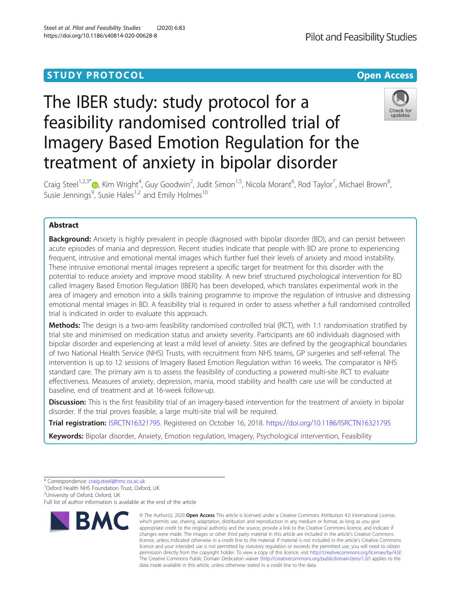# **STUDY PROTOCOL CONSUMING THE RESERVE ACCESS**

# The IBER study: study protocol for a feasibility randomised controlled trial of Imagery Based Emotion Regulation for the treatment of anxiety in bipolar disorder



Craig Steel<sup>1,2,3[\\*](http://orcid.org/0000-0002-1643-516X)</sup>®, Kim Wright<sup>4</sup>, Guy Goodwin<sup>2</sup>, Judit Simon<sup>1,5</sup>, Nicola Morant<sup>6</sup>, Rod Taylor<sup>7</sup>, Michael Brown<sup>8</sup> , Susie Jennings<sup>9</sup>, Susie Hales<sup>1,2</sup> and Emily Holmes<sup>10</sup>

# Abstract

**Background:** Anxiety is highly prevalent in people diagnosed with bipolar disorder (BD), and can persist between acute episodes of mania and depression. Recent studies indicate that people with BD are prone to experiencing frequent, intrusive and emotional mental images which further fuel their levels of anxiety and mood instability. These intrusive emotional mental images represent a specific target for treatment for this disorder with the potential to reduce anxiety and improve mood stability. A new brief structured psychological intervention for BD called Imagery Based Emotion Regulation (IBER) has been developed, which translates experimental work in the area of imagery and emotion into a skills training programme to improve the regulation of intrusive and distressing emotional mental images in BD. A feasibility trial is required in order to assess whether a full randomised controlled trial is indicated in order to evaluate this approach.

Methods: The design is a two-arm feasibility randomised controlled trial (RCT), with 1:1 randomisation stratified by trial site and minimised on medication status and anxiety severity. Participants are 60 individuals diagnosed with bipolar disorder and experiencing at least a mild level of anxiety. Sites are defined by the geographical boundaries of two National Health Service (NHS) Trusts, with recruitment from NHS teams, GP surgeries and self-referral. The intervention is up to 12 sessions of Imagery Based Emotion Regulation within 16 weeks. The comparator is NHS standard care. The primary aim is to assess the feasibility of conducting a powered multi-site RCT to evaluate effectiveness. Measures of anxiety, depression, mania, mood stability and health care use will be conducted at baseline, end of treatment and at 16-week follow-up.

Discussion: This is the first feasibility trial of an imagery-based intervention for the treatment of anxiety in bipolar disorder. If the trial proves feasible, a large multi-site trial will be required.

Trial registration: [ISRCTN16321795](http://www.isrctn.com/ISRCTN16321795). Registered on October 16, 2018. <https://doi.org/10.1186/ISRCTN16321795>

Keywords: Bipolar disorder, Anxiety, Emotion regulation, Imagery, Psychological intervention, Feasibility

<sup>2</sup>University of Oxford, Oxford, UK

Full list of author information is available at the end of the article



<sup>©</sup> The Author(s), 2020 **Open Access** This article is licensed under a Creative Commons Attribution 4.0 International License, which permits use, sharing, adaptation, distribution and reproduction in any medium or format, as long as you give appropriate credit to the original author(s) and the source, provide a link to the Creative Commons licence, and indicate if changes were made. The images or other third party material in this article are included in the article's Creative Commons licence, unless indicated otherwise in a credit line to the material. If material is not included in the article's Creative Commons licence and your intended use is not permitted by statutory regulation or exceeds the permitted use, you will need to obtain permission directly from the copyright holder. To view a copy of this licence, visit [http://creativecommons.org/licenses/by/4.0/.](http://creativecommons.org/licenses/by/4.0/) The Creative Commons Public Domain Dedication waiver [\(http://creativecommons.org/publicdomain/zero/1.0/](http://creativecommons.org/publicdomain/zero/1.0/)) applies to the data made available in this article, unless otherwise stated in a credit line to the data.

<sup>\*</sup> Correspondence: [craig.steel@hmc.ox.ac.uk](mailto:craig.steel@hmc.ox.ac.uk) <sup>1</sup>

<sup>&</sup>lt;sup>1</sup>Oxford Health NHS Foundation Trust, Oxford, UK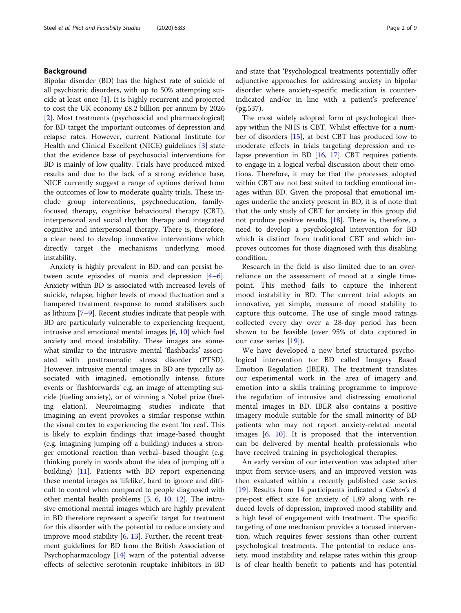# Background

Bipolar disorder (BD) has the highest rate of suicide of all psychiatric disorders, with up to 50% attempting suicide at least once [[1\]](#page-8-0). It is highly recurrent and projected to cost the UK economy £8.2 billion per annum by 2026 [[2\]](#page-8-0). Most treatments (psychosocial and pharmacological) for BD target the important outcomes of depression and relapse rates. However, current National Institute for Health and Clinical Excellent (NICE) guidelines [\[3](#page-8-0)] state that the evidence base of psychosocial interventions for BD is mainly of low quality. Trials have produced mixed results and due to the lack of a strong evidence base, NICE currently suggest a range of options derived from the outcomes of low to moderate quality trials. These include group interventions, psychoeducation, familyfocused therapy, cognitive behavioural therapy (CBT), interpersonal and social rhythm therapy and integrated cognitive and interpersonal therapy. There is, therefore, a clear need to develop innovative interventions which directly target the mechanisms underlying mood instability.

Anxiety is highly prevalent in BD, and can persist between acute episodes of mania and depression [\[4](#page-8-0)–[6](#page-8-0)]. Anxiety within BD is associated with increased levels of suicide, relapse, higher levels of mood fluctuation and a hampered treatment response to mood stabilisers such as lithium [\[7](#page-8-0)–[9](#page-8-0)]. Recent studies indicate that people with BD are particularly vulnerable to experiencing frequent, intrusive and emotional mental images [\[6,](#page-8-0) [10\]](#page-8-0) which fuel anxiety and mood instability. These images are somewhat similar to the intrusive mental 'flashbacks' associated with posttraumatic stress disorder (PTSD). However, intrusive mental images in BD are typically associated with imagined, emotionally intense, future events or 'flashforwards' e.g. an image of attempting suicide (fueling anxiety), or of winning a Nobel prize (fueling elation). Neuroimaging studies indicate that imagining an event provokes a similar response within the visual cortex to experiencing the event 'for real'. This is likely to explain findings that image-based thought (e.g. imagining jumping off a building) induces a stronger emotional reaction than verbal–based thought (e.g. thinking purely in words about the idea of jumping off a building) [[11\]](#page-8-0). Patients with BD report experiencing these mental images as 'lifelike', hard to ignore and difficult to control when compared to people diagnosed with other mental health problems [\[5](#page-8-0), [6](#page-8-0), [10](#page-8-0), [12](#page-8-0)]. The intrusive emotional mental images which are highly prevalent in BD therefore represent a specific target for treatment for this disorder with the potential to reduce anxiety and improve mood stability [[6](#page-8-0), [13\]](#page-8-0). Further, the recent treatment guidelines for BD from the British Association of Psychopharmacology [[14\]](#page-8-0) warn of the potential adverse effects of selective serotonin reuptake inhibitors in BD and state that 'Psychological treatments potentially offer adjunctive approaches for addressing anxiety in bipolar disorder where anxiety-specific medication is counterindicated and/or in line with a patient's preference' (pg.537).

The most widely adopted form of psychological therapy within the NHS is CBT. Whilst effective for a number of disorders [\[15](#page-8-0)], at best CBT has produced low to moderate effects in trials targeting depression and relapse prevention in BD [\[16](#page-8-0), [17](#page-8-0)]. CBT requires patients to engage in a logical verbal discussion about their emotions. Therefore, it may be that the processes adopted within CBT are not best suited to tackling emotional images within BD. Given the proposal that emotional images underlie the anxiety present in BD, it is of note that that the only study of CBT for anxiety in this group did not produce positive results [[18\]](#page-8-0). There is, therefore, a need to develop a psychological intervention for BD which is distinct from traditional CBT and which improves outcomes for those diagnosed with this disabling condition.

Research in the field is also limited due to an overreliance on the assessment of mood at a single timepoint. This method fails to capture the inherent mood instability in BD. The current trial adopts an innovative, yet simple, measure of mood stability to capture this outcome. The use of single mood ratings collected every day over a 28-day period has been shown to be feasible (over 95% of data captured in our case series [[19\]](#page-8-0)).

We have developed a new brief structured psychological intervention for BD called Imagery Based Emotion Regulation (IBER). The treatment translates our experimental work in the area of imagery and emotion into a skills training programme to improve the regulation of intrusive and distressing emotional mental images in BD. IBER also contains a positive imagery module suitable for the small minority of BD patients who may not report anxiety-related mental images [\[6](#page-8-0), [10\]](#page-8-0). It is proposed that the intervention can be delivered by mental health professionals who have received training in psychological therapies.

An early version of our intervention was adapted after input from service-users, and an improved version was then evaluated within a recently published case series [[19\]](#page-8-0). Results from 14 participants indicated a Cohen's d pre-post effect size for anxiety of 1.89 along with reduced levels of depression, improved mood stability and a high level of engagement with treatment. The specific targeting of one mechanism provides a focused intervention, which requires fewer sessions than other current psychological treatments. The potential to reduce anxiety, mood instability and relapse rates within this group is of clear health benefit to patients and has potential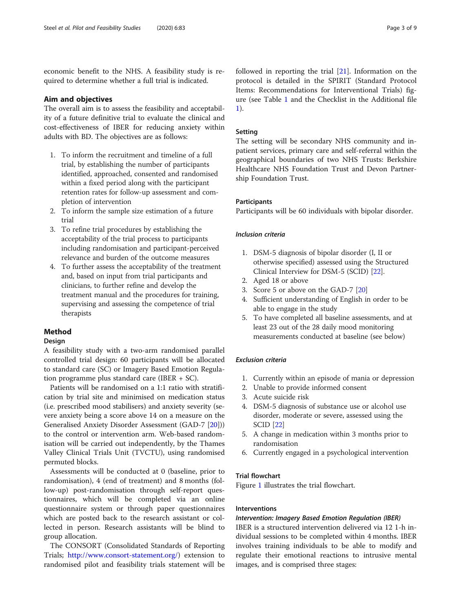economic benefit to the NHS. A feasibility study is required to determine whether a full trial is indicated.

# Aim and objectives

The overall aim is to assess the feasibility and acceptability of a future definitive trial to evaluate the clinical and cost-effectiveness of IBER for reducing anxiety within adults with BD. The objectives are as follows:

- 1. To inform the recruitment and timeline of a full trial, by establishing the number of participants identified, approached, consented and randomised within a fixed period along with the participant retention rates for follow-up assessment and completion of intervention
- 2. To inform the sample size estimation of a future trial
- 3. To refine trial procedures by establishing the acceptability of the trial process to participants including randomisation and participant-perceived relevance and burden of the outcome measures
- 4. To further assess the acceptability of the treatment and, based on input from trial participants and clinicians, to further refine and develop the treatment manual and the procedures for training, supervising and assessing the competence of trial therapists

# Method

# **Design**

A feasibility study with a two-arm randomised parallel controlled trial design: 60 participants will be allocated to standard care (SC) or Imagery Based Emotion Regulation programme plus standard care (IBER + SC).

Patients will be randomised on a 1:1 ratio with stratification by trial site and minimised on medication status (i.e. prescribed mood stabilisers) and anxiety severity (severe anxiety being a score above 14 on a measure on the Generalised Anxiety Disorder Assessment (GAD-7 [\[20](#page-8-0)])) to the control or intervention arm. Web-based randomisation will be carried out independently, by the Thames Valley Clinical Trials Unit (TVCTU), using randomised permuted blocks.

Assessments will be conducted at 0 (baseline, prior to randomisation), 4 (end of treatment) and 8 months (follow-up) post-randomisation through self-report questionnaires, which will be completed via an online questionnaire system or through paper questionnaires which are posted back to the research assistant or collected in person. Research assistants will be blind to group allocation.

The CONSORT (Consolidated Standards of Reporting Trials; [http://www.consort-statement.org/\)](http://www.consort-statement.org/) extension to randomised pilot and feasibility trials statement will be followed in reporting the trial [\[21](#page-8-0)]. Information on the protocol is detailed in the SPIRIT (Standard Protocol Items: Recommendations for Interventional Trials) figure (see Table [1](#page-3-0) and the Checklist in the Additional file [1\)](#page-7-0).

# Setting

The setting will be secondary NHS community and inpatient services, primary care and self-referral within the geographical boundaries of two NHS Trusts: Berkshire Healthcare NHS Foundation Trust and Devon Partnership Foundation Trust.

# **Participants**

Participants will be 60 individuals with bipolar disorder.

# Inclusion criteria

- 1. DSM-5 diagnosis of bipolar disorder (I, II or otherwise specified) assessed using the Structured Clinical Interview for DSM-5 (SCID) [\[22](#page-8-0)].
- 2. Aged 18 or above
- 3. Score 5 or above on the GAD-7 [[20](#page-8-0)]
- 4. Sufficient understanding of English in order to be able to engage in the study
- 5. To have completed all baseline assessments, and at least 23 out of the 28 daily mood monitoring measurements conducted at baseline (see below)

# Exclusion criteria

- 1. Currently within an episode of mania or depression
- 2. Unable to provide informed consent
- 3. Acute suicide risk
- 4. DSM-5 diagnosis of substance use or alcohol use disorder, moderate or severe, assessed using the SCID [\[22\]](#page-8-0)
- 5. A change in medication within 3 months prior to randomisation
- 6. Currently engaged in a psychological intervention

# Trial flowchart

Figure [1](#page-4-0) illustrates the trial flowchart.

# Interventions

# Intervention: Imagery Based Emotion Regulation (IBER)

IBER is a structured intervention delivered via 12 1-h individual sessions to be completed within 4 months. IBER involves training individuals to be able to modify and regulate their emotional reactions to intrusive mental images, and is comprised three stages: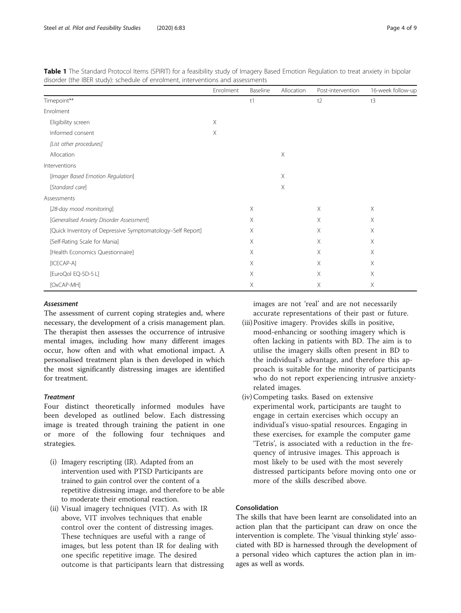|                                                            | Enrolment | Baseline | Allocation | Post-intervention | 16-week follow-up |
|------------------------------------------------------------|-----------|----------|------------|-------------------|-------------------|
| Timepoint**                                                |           | t1       |            | t2                | t3                |
| Enrolment                                                  |           |          |            |                   |                   |
| Eligibility screen                                         | $\times$  |          |            |                   |                   |
| Informed consent                                           | $\times$  |          |            |                   |                   |
| [List other procedures]                                    |           |          |            |                   |                   |
| Allocation                                                 |           |          | $\times$   |                   |                   |
| Interventions                                              |           |          |            |                   |                   |
| [Imager Based Emotion Regulation]                          |           |          | Χ          |                   |                   |
| [Standard care]                                            |           |          | Χ          |                   |                   |
| Assessments                                                |           |          |            |                   |                   |
| [28-day mood monitoring]                                   |           | Χ        |            | Χ                 | Χ                 |
| [Generalised Anxiety Disorder Assessment]                  |           | Χ        |            | Χ                 | Χ                 |
| [Quick Inventory of Depressive Symptomatology-Self Report] |           | X        |            | Χ                 | X                 |
| [Self-Rating Scale for Mania]                              |           | X        |            | X                 | X                 |
| [Health Economics Questionnaire]                           |           | X        |            | Χ                 | X                 |
| $[ICECAP-A]$                                               |           | X        |            | Χ                 | Χ                 |
| [EuroQol EQ-5D-5 L]                                        |           | X        |            | Χ                 | Χ                 |
| [OxCAP-MH]                                                 |           | Χ        |            | Χ                 | Χ                 |

<span id="page-3-0"></span>Table 1 The Standard Protocol Items (SPIRIT) for a feasibility study of Imagery Based Emotion Regulation to treat anxiety in bipolar disorder (the IBER study): schedule of enrolment, interventions and assessments

# Assessment

The assessment of current coping strategies and, where necessary, the development of a crisis management plan. The therapist then assesses the occurrence of intrusive mental images, including how many different images occur, how often and with what emotional impact. A personalised treatment plan is then developed in which the most significantly distressing images are identified for treatment.

# **Treatment**

Four distinct theoretically informed modules have been developed as outlined below. Each distressing image is treated through training the patient in one or more of the following four techniques and strategies.

- (i) Imagery rescripting (IR). Adapted from an intervention used with PTSD Participants are trained to gain control over the content of a repetitive distressing image, and therefore to be able to moderate their emotional reaction.
- (ii) Visual imagery techniques (VIT). As with IR above, VIT involves techniques that enable control over the content of distressing images. These techniques are useful with a range of images, but less potent than IR for dealing with one specific repetitive image. The desired outcome is that participants learn that distressing

images are not 'real' and are not necessarily accurate representations of their past or future.

- (iii)Positive imagery. Provides skills in positive, mood-enhancing or soothing imagery which is often lacking in patients with BD. The aim is to utilise the imagery skills often present in BD to the individual's advantage, and therefore this approach is suitable for the minority of participants who do not report experiencing intrusive anxietyrelated images.
- (iv) Competing tasks. Based on extensive experimental work, participants are taught to engage in certain exercises which occupy an individual's visuo-spatial resources. Engaging in these exercises, for example the computer game 'Tetris', is associated with a reduction in the frequency of intrusive images. This approach is most likely to be used with the most severely distressed participants before moving onto one or more of the skills described above.

# Consolidation

The skills that have been learnt are consolidated into an action plan that the participant can draw on once the intervention is complete. The 'visual thinking style' associated with BD is harnessed through the development of a personal video which captures the action plan in images as well as words.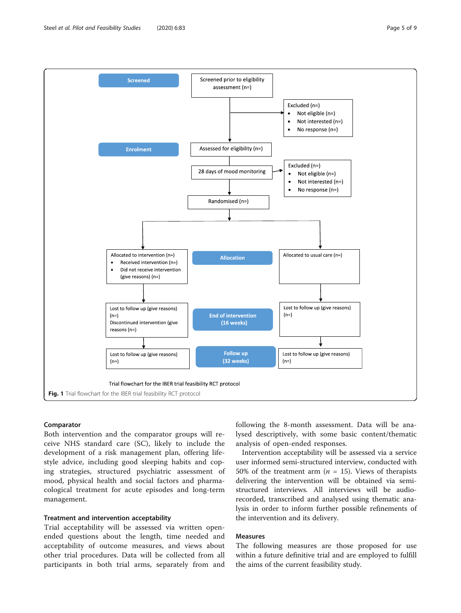Both intervention and the comparator groups will receive NHS standard care (SC), likely to include the development of a risk management plan, offering lifestyle advice, including good sleeping habits and coping strategies, structured psychiatric assessment of mood, physical health and social factors and pharmacological treatment for acute episodes and long-term management.

#### Treatment and intervention acceptability

Comparator

Trial acceptability will be assessed via written openended questions about the length, time needed and acceptability of outcome measures, and views about other trial procedures. Data will be collected from all participants in both trial arms, separately from and

following the 8-month assessment. Data will be analysed descriptively, with some basic content/thematic analysis of open-ended responses.

Intervention acceptability will be assessed via a service user informed semi-structured interview, conducted with 50% of the treatment arm ( $n = 15$ ). Views of therapists delivering the intervention will be obtained via semistructured interviews. All interviews will be audiorecorded, transcribed and analysed using thematic analysis in order to inform further possible refinements of the intervention and its delivery.

# Measures

The following measures are those proposed for use within a future definitive trial and are employed to fulfill the aims of the current feasibility study.

<span id="page-4-0"></span>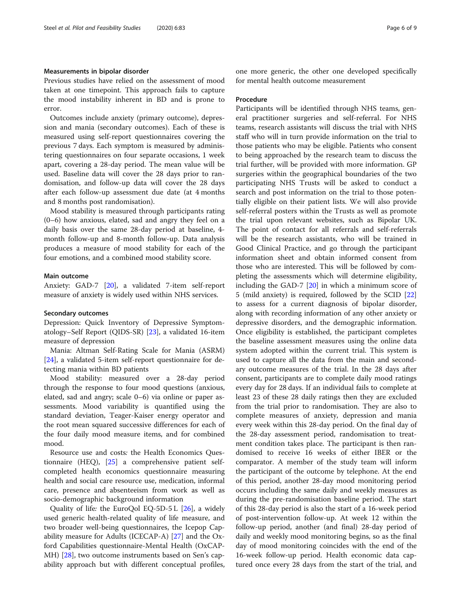#### Measurements in bipolar disorder

Previous studies have relied on the assessment of mood taken at one timepoint. This approach fails to capture the mood instability inherent in BD and is prone to error.

Outcomes include anxiety (primary outcome), depression and mania (secondary outcomes). Each of these is measured using self-report questionnaires covering the previous 7 days. Each symptom is measured by administering questionnaires on four separate occasions, 1 week apart, covering a 28-day period. The mean value will be used. Baseline data will cover the 28 days prior to randomisation, and follow-up data will cover the 28 days after each follow-up assessment due date (at 4 months and 8 months post randomisation).

Mood stability is measured through participants rating (0–6) how anxious, elated, sad and angry they feel on a daily basis over the same 28-day period at baseline, 4 month follow-up and 8-month follow-up. Data analysis produces a measure of mood stability for each of the four emotions, and a combined mood stability score.

#### Main outcome

Anxiety: GAD-7 [\[20](#page-8-0)], a validated 7-item self-report measure of anxiety is widely used within NHS services.

#### Secondary outcomes

Depression: Quick Inventory of Depressive Symptomatology–Self Report (QIDS-SR) [\[23](#page-8-0)], a validated 16-item measure of depression

Mania: Altman Self-Rating Scale for Mania (ASRM) [[24\]](#page-8-0), a validated 5-item self-report questionnaire for detecting mania within BD patients

Mood stability: measured over a 28-day period through the response to four mood questions (anxious, elated, sad and angry; scale 0–6) via online or paper assessments. Mood variability is quantified using the standard deviation, Teager-Kaiser energy operator and the root mean squared successive differences for each of the four daily mood measure items, and for combined mood.

Resource use and costs: the Health Economics Questionnaire (HEQ), [\[25](#page-8-0)] a comprehensive patient selfcompleted health economics questionnaire measuring health and social care resource use, medication, informal care, presence and absenteeism from work as well as socio-demographic background information

Quality of life: the EuroQol EQ-5D-5 L  $[26]$ , a widely used generic health-related quality of life measure, and two broader well-being questionnaires, the Icepop Capability measure for Adults (ICECAP-A) [\[27](#page-8-0)] and the Oxford Capabilities questionnaire-Mental Health (OxCAP-MH) [[28\]](#page-8-0), two outcome instruments based on Sen's capability approach but with different conceptual profiles, one more generic, the other one developed specifically for mental health outcome measurement

#### Procedure

Participants will be identified through NHS teams, general practitioner surgeries and self-referral. For NHS teams, research assistants will discuss the trial with NHS staff who will in turn provide information on the trial to those patients who may be eligible. Patients who consent to being approached by the research team to discuss the trial further, will be provided with more information. GP surgeries within the geographical boundaries of the two participating NHS Trusts will be asked to conduct a search and post information on the trial to those potentially eligible on their patient lists. We will also provide self-referral posters within the Trusts as well as promote the trial upon relevant websites, such as Bipolar UK. The point of contact for all referrals and self-referrals will be the research assistants, who will be trained in Good Clinical Practice, and go through the participant information sheet and obtain informed consent from those who are interested. This will be followed by completing the assessments which will determine eligibility, including the GAD-7 [[20\]](#page-8-0) in which a minimum score of 5 (mild anxiety) is required, followed by the SCID [[22](#page-8-0)] to assess for a current diagnosis of bipolar disorder, along with recording information of any other anxiety or depressive disorders, and the demographic information. Once eligibility is established, the participant completes the baseline assessment measures using the online data system adopted within the current trial. This system is used to capture all the data from the main and secondary outcome measures of the trial. In the 28 days after consent, participants are to complete daily mood ratings every day for 28 days. If an individual fails to complete at least 23 of these 28 daily ratings then they are excluded from the trial prior to randomisation. They are also to complete measures of anxiety, depression and mania every week within this 28-day period. On the final day of the 28-day assessment period, randomisation to treatment condition takes place. The participant is then randomised to receive 16 weeks of either IBER or the comparator. A member of the study team will inform the participant of the outcome by telephone. At the end of this period, another 28-day mood monitoring period occurs including the same daily and weekly measures as during the pre-randomisation baseline period. The start of this 28-day period is also the start of a 16-week period of post-intervention follow-up. At week 12 within the follow-up period, another (and final) 28-day period of daily and weekly mood monitoring begins, so as the final day of mood monitoring coincides with the end of the 16-week follow-up period. Health economic data captured once every 28 days from the start of the trial, and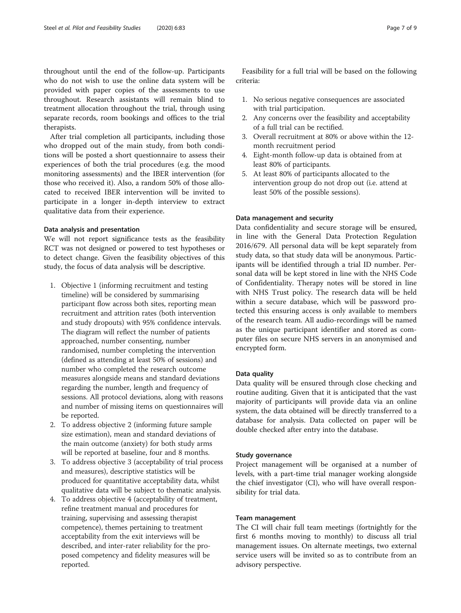throughout until the end of the follow-up. Participants who do not wish to use the online data system will be provided with paper copies of the assessments to use throughout. Research assistants will remain blind to treatment allocation throughout the trial, through using separate records, room bookings and offices to the trial therapists.

After trial completion all participants, including those who dropped out of the main study, from both conditions will be posted a short questionnaire to assess their experiences of both the trial procedures (e.g. the mood monitoring assessments) and the IBER intervention (for those who received it). Also, a random 50% of those allocated to received IBER intervention will be invited to participate in a longer in-depth interview to extract qualitative data from their experience.

# Data analysis and presentation

We will not report significance tests as the feasibility RCT was not designed or powered to test hypotheses or to detect change. Given the feasibility objectives of this study, the focus of data analysis will be descriptive.

- 1. Objective 1 (informing recruitment and testing timeline) will be considered by summarising participant flow across both sites, reporting mean recruitment and attrition rates (both intervention and study dropouts) with 95% confidence intervals. The diagram will reflect the number of patients approached, number consenting, number randomised, number completing the intervention (defined as attending at least 50% of sessions) and number who completed the research outcome measures alongside means and standard deviations regarding the number, length and frequency of sessions. All protocol deviations, along with reasons and number of missing items on questionnaires will be reported.
- 2. To address objective 2 (informing future sample size estimation), mean and standard deviations of the main outcome (anxiety) for both study arms will be reported at baseline, four and 8 months.
- 3. To address objective 3 (acceptability of trial process and measures), descriptive statistics will be produced for quantitative acceptability data, whilst qualitative data will be subject to thematic analysis.
- 4. To address objective 4 (acceptability of treatment, refine treatment manual and procedures for training, supervising and assessing therapist competence), themes pertaining to treatment acceptability from the exit interviews will be described, and inter-rater reliability for the proposed competency and fidelity measures will be reported.

Feasibility for a full trial will be based on the following criteria:

- 1. No serious negative consequences are associated with trial participation.
- 2. Any concerns over the feasibility and acceptability of a full trial can be rectified.
- 3. Overall recruitment at 80% or above within the 12 month recruitment period
- 4. Eight-month follow-up data is obtained from at least 80% of participants.
- 5. At least 80% of participants allocated to the intervention group do not drop out (i.e. attend at least 50% of the possible sessions).

# Data management and security

Data confidentiality and secure storage will be ensured, in line with the General Data Protection Regulation 2016/679. All personal data will be kept separately from study data, so that study data will be anonymous. Participants will be identified through a trial ID number. Personal data will be kept stored in line with the NHS Code of Confidentiality. Therapy notes will be stored in line with NHS Trust policy. The research data will be held within a secure database, which will be password protected this ensuring access is only available to members of the research team. All audio-recordings will be named as the unique participant identifier and stored as computer files on secure NHS servers in an anonymised and encrypted form.

# Data quality

Data quality will be ensured through close checking and routine auditing. Given that it is anticipated that the vast majority of participants will provide data via an online system, the data obtained will be directly transferred to a database for analysis. Data collected on paper will be double checked after entry into the database.

# Study governance

Project management will be organised at a number of levels, with a part-time trial manager working alongside the chief investigator (CI), who will have overall responsibility for trial data.

# Team management

The CI will chair full team meetings (fortnightly for the first 6 months moving to monthly) to discuss all trial management issues. On alternate meetings, two external service users will be invited so as to contribute from an advisory perspective.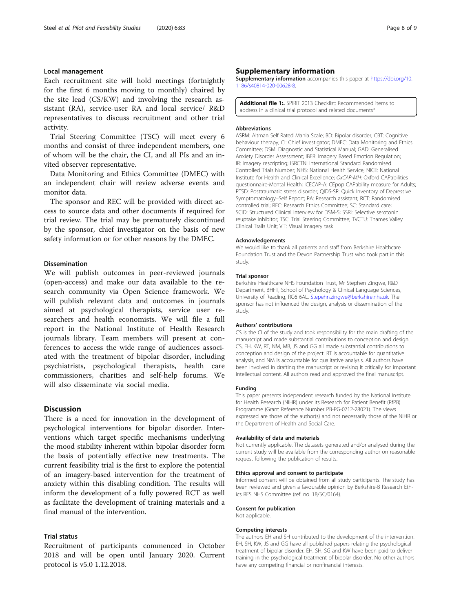# <span id="page-7-0"></span>Local management

Each recruitment site will hold meetings (fortnightly for the first 6 months moving to monthly) chaired by the site lead (CS/KW) and involving the research assistant (RA), service-user RA and local service/ R&D representatives to discuss recruitment and other trial activity.

Trial Steering Committee (TSC) will meet every 6 months and consist of three independent members, one of whom will be the chair, the CI, and all PIs and an invited observer representative.

Data Monitoring and Ethics Committee (DMEC) with an independent chair will review adverse events and monitor data.

The sponsor and REC will be provided with direct access to source data and other documents if required for trial review. The trial may be prematurely discontinued by the sponsor, chief investigator on the basis of new safety information or for other reasons by the DMEC.

#### Dissemination

We will publish outcomes in peer-reviewed journals (open-access) and make our data available to the research community via Open Science framework. We will publish relevant data and outcomes in journals aimed at psychological therapists, service user researchers and health economists. We will file a full report in the National Institute of Health Research journals library. Team members will present at conferences to access the wide range of audiences associated with the treatment of bipolar disorder, including psychiatrists, psychological therapists, health care commissioners, charities and self-help forums. We will also disseminate via social media.

# **Discussion**

There is a need for innovation in the development of psychological interventions for bipolar disorder. Interventions which target specific mechanisms underlying the mood stability inherent within bipolar disorder form the basis of potentially effective new treatments. The current feasibility trial is the first to explore the potential of an imagery-based intervention for the treatment of anxiety within this disabling condition. The results will inform the development of a fully powered RCT as well as facilitate the development of training materials and a final manual of the intervention.

# Trial status

Recruitment of participants commenced in October 2018 and will be open until January 2020. Current protocol is v5.0 1.12.2018.

# Supplementary information

Supplementary information accompanies this paper at [https://doi.org/10.](https://doi.org/10.1186/s40814-020-00628-8) [1186/s40814-020-00628-8](https://doi.org/10.1186/s40814-020-00628-8).

Additional file 1: SPIRIT 2013 Checklist: Recommended items to address in a clinical trial protocol and related documents\*

#### Abbreviations

ASRM: Altman Self Rated Mania Scale; BD: Bipolar disorder; CBT: Cognitive behaviour therapy; CI: Chief investigator; DMEC: Data Monitoring and Ethics Committee; DSM: Diagnostic and Statistical Manual; GAD: Generalised Anxiety Disorder Assessment; IBER: Imagery Based Emotion Regulation; IR: Imagery rescripting; ISRCTN: International Standard Randomised Controlled Trials Number; NHS: National Health Service; NICE: National Institute for Health and Clinical Excellence; OxCAP-MH: Oxford CAPabilities questionnaire-Mental Health; ICECAP-A: CEpop CAPability measure for Adults; PTSD: Posttraumatic stress disorder; QIDS-SR: Quick Inventory of Depressive Symptomatology–Self Report; RA: Research assistant; RCT: Randomised controlled trial; REC: Research Ethics Committee; SC: Standard care; SCID: Structured Clinical Interview for DSM-5; SSRI: Selective serotonin reuptake inhibitor; TSC: Trial Steering Committee; TVCTU: Thames Valley Clinical Trails Unit; VIT: Visual imagery task

#### Acknowledgements

We would like to thank all patients and staff from Berkshire Healthcare Foundation Trust and the Devon Partnership Trust who took part in this study.

#### Trial sponsor

Berkshire Healthcare NHS Foundation Trust, Mr Stephen Zingwe, R&D Department, BHFT, School of Psychology & Clinical Language Sciences, University of Reading, RG6 6AL. [Stepehn.zingwe@berkshire.nhs.uk.](mailto:Stepehn.zingwe@berkshire.nhs.uk) The sponsor has not influenced the design, analysis or dissemination of the study.

#### Authors' contributions

CS is the CI of the study and took responsibility for the main drafting of the manuscript and made substantial contributions to conception and design. CS, EH, KW, RT, NM, MB, JS and GG all made substantial contributions to conception and design of the project. RT is accountable for quantitative analysis, and NM is accountable for qualitative analysis. All authors have been involved in drafting the manuscript or revising it critically for important intellectual content. All authors read and approved the final manuscript.

#### Funding

This paper presents independent research funded by the National Institute for Health Research (NIHR) under its Research for Patient Benefit (RfPB) Programme (Grant Reference Number PB-PG-0712-28021). The views expressed are those of the author(s) and not necessarily those of the NIHR or the Department of Health and Social Care.

#### Availability of data and materials

Not currently applicable. The datasets generated and/or analysed during the current study will be available from the corresponding author on reasonable request following the publication of results.

#### Ethics approval and consent to participate

Informed consent will be obtained from all study participants. The study has been reviewed and given a favourable opinion by Berkshire-B Research Ethics RES NHS Committee (ref. no. 18/SC/0164).

#### Consent for publication

Not applicable.

#### Competing interests

The authors EH and SH contributed to the development of the intervention. EH, SH, KW, JS and GG have all published papers relating the psychological treatment of bipolar disorder. EH, SH, SG and KW have been paid to deliver training in the psychological treatment of bipolar disorder. No other authors have any competing financial or nonfinancial interests.